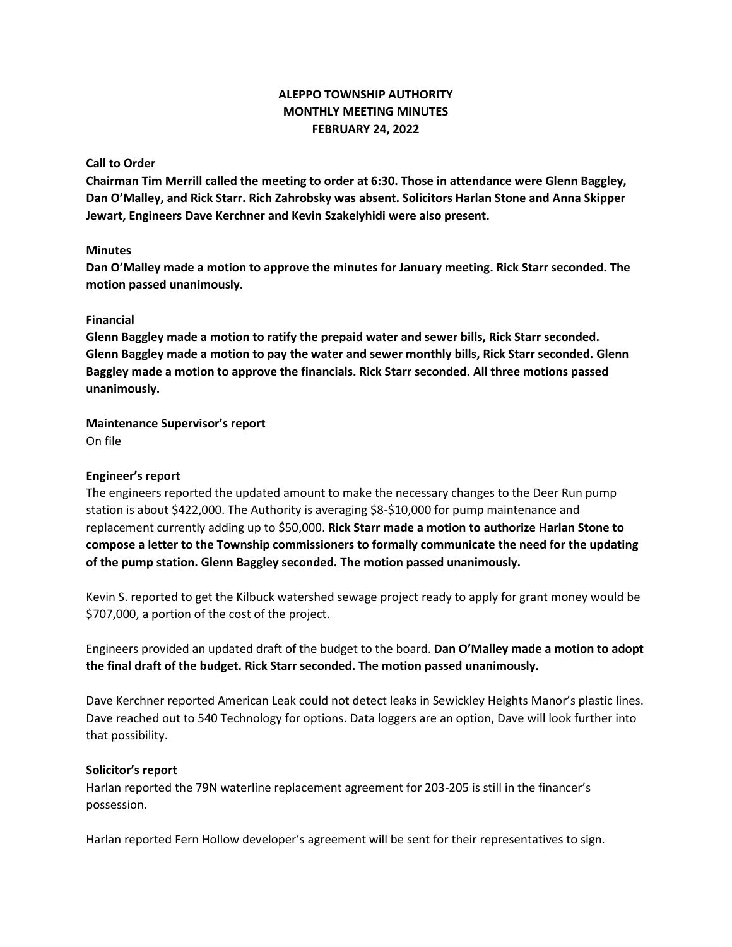# **ALEPPO TOWNSHIP AUTHORITY MONTHLY MEETING MINUTES FEBRUARY 24, 2022**

## **Call to Order**

**Chairman Tim Merrill called the meeting to order at 6:30. Those in attendance were Glenn Baggley, Dan O'Malley, and Rick Starr. Rich Zahrobsky was absent. Solicitors Harlan Stone and Anna Skipper Jewart, Engineers Dave Kerchner and Kevin Szakelyhidi were also present.**

# **Minutes**

**Dan O'Malley made a motion to approve the minutes for January meeting. Rick Starr seconded. The motion passed unanimously.**

# **Financial**

**Glenn Baggley made a motion to ratify the prepaid water and sewer bills, Rick Starr seconded. Glenn Baggley made a motion to pay the water and sewer monthly bills, Rick Starr seconded. Glenn Baggley made a motion to approve the financials. Rick Starr seconded. All three motions passed unanimously.**

#### **Maintenance Supervisor's report** On file

## **Engineer's report**

The engineers reported the updated amount to make the necessary changes to the Deer Run pump station is about \$422,000. The Authority is averaging \$8-\$10,000 for pump maintenance and replacement currently adding up to \$50,000. **Rick Starr made a motion to authorize Harlan Stone to compose a letter to the Township commissioners to formally communicate the need for the updating of the pump station. Glenn Baggley seconded. The motion passed unanimously.**

Kevin S. reported to get the Kilbuck watershed sewage project ready to apply for grant money would be \$707,000, a portion of the cost of the project.

Engineers provided an updated draft of the budget to the board. **Dan O'Malley made a motion to adopt the final draft of the budget. Rick Starr seconded. The motion passed unanimously.**

Dave Kerchner reported American Leak could not detect leaks in Sewickley Heights Manor's plastic lines. Dave reached out to 540 Technology for options. Data loggers are an option, Dave will look further into that possibility.

#### **Solicitor's report**

Harlan reported the 79N waterline replacement agreement for 203-205 is still in the financer's possession.

Harlan reported Fern Hollow developer's agreement will be sent for their representatives to sign.